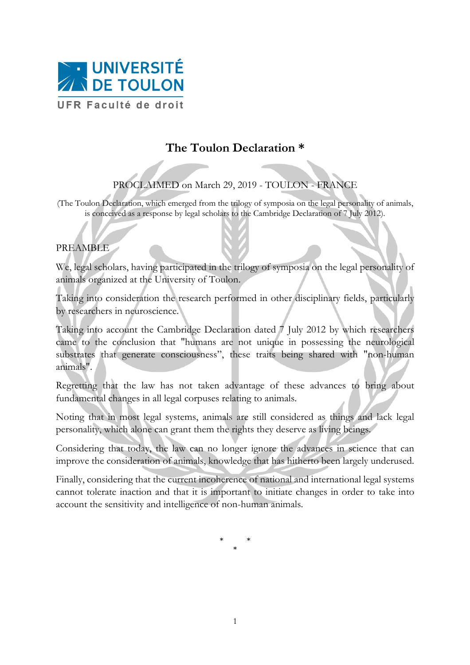

## **The Toulon Declaration \***

## PROCLAIMED on March 29, 2019 - TOULON - FRANCE

(The Toulon Declaration, which emerged from the trilogy of symposia on the legal personality of animals, is conceived as a response by legal scholars to the Cambridge Declaration of 7 July 2012).

## PREAMBLE

We, legal scholars, having participated in the trilogy of symposia on the legal personality of animals organized at the University of Toulon.

Taking into consideration the research performed in other disciplinary fields, particularly by researchers in neuroscience.

Taking into account the Cambridge Declaration dated 7 July 2012 by which researchers came to the conclusion that "humans are not unique in possessing the neurological substrates that generate consciousness", these traits being shared with "non-human animals".

Regretting that the law has not taken advantage of these advances to bring about fundamental changes in all legal corpuses relating to animals.

Noting that in most legal systems, animals are still considered as things and lack legal personality, which alone can grant them the rights they deserve as living beings.

Considering that today, the law can no longer ignore the advances in science that can improve the consideration of animals, knowledge that has hitherto been largely underused.

Finally, considering that the current incoherence of national and international legal systems cannot tolerate inaction and that it is important to initiate changes in order to take into account the sensitivity and intelligence of non-human animals.

> \* \* \*